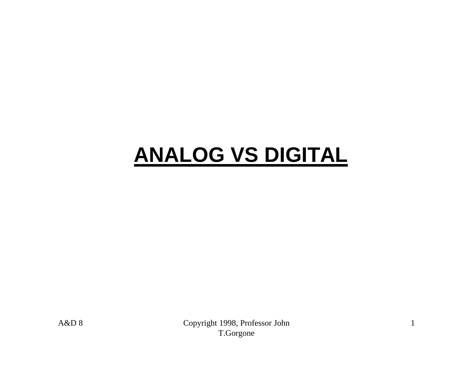# **ANALOG VS DIGITAL**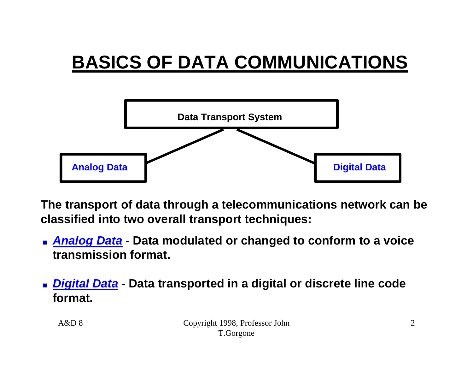# **BASICS OF DATA COMMUNICATIONS**



**The transport of data through a telecommunications network can be classified into two overall transport techniques:** 

- **n Analog Data** Data modulated or changed to conform to a voice **transmission format.**
- **n** *Digital Data***</u> Data transported in a digital or discrete line code format.**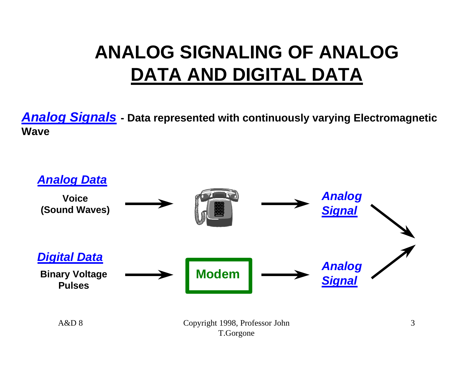## **ANALOG SIGNALING OF ANALOG DATA AND DIGITAL DATA**

*Analog Signals* **- Data represented with continuously varying Electromagnetic Wave**

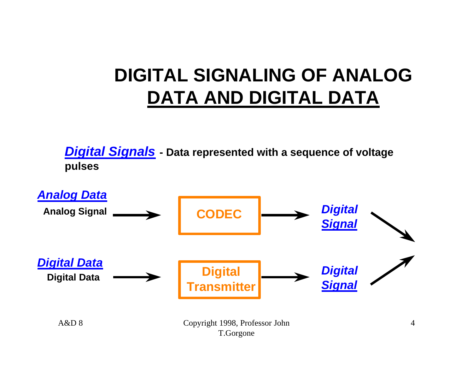### **DIGITAL SIGNALING OF ANALOG DATA AND DIGITAL DATA**

*Digital Signals* **- Data represented with a sequence of voltage pulses**



T.Gorgone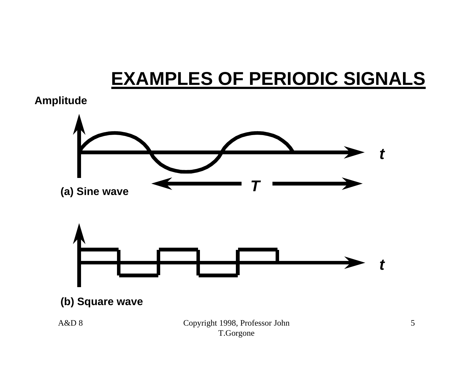# **EXAMPLES OF PERIODIC SIGNALS**

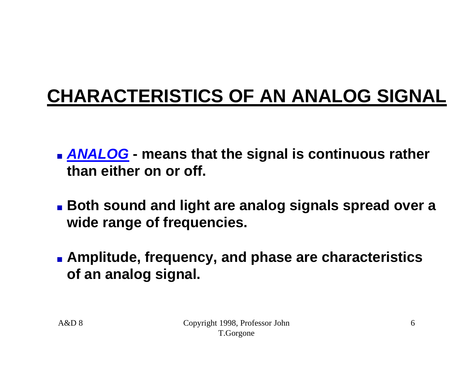# **CHARACTERISTICS OF AN ANALOG SIGNAL**

- **EXALOG** means that the signal is continuous rather **than either on or off.**
- **Both sound and light are analog signals spread over a wide range of frequencies.**
- **Examplitude, frequency, and phase are characteristics of an analog signal.**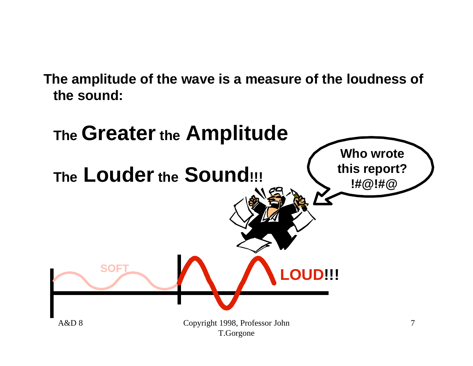**The amplitude of the wave is a measure of the loudness of the sound:**

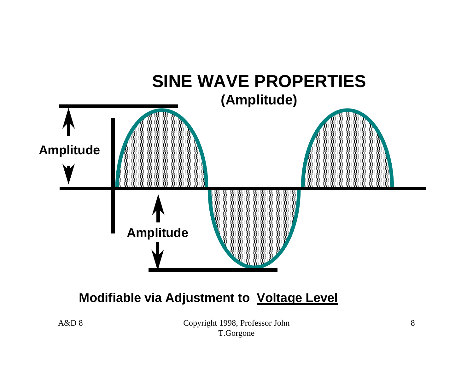

#### **Modifiable via Adjustment to Voltage Level**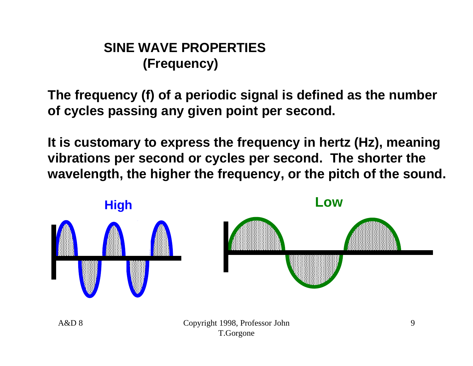#### **SINE WAVE PROPERTIES (Frequency)**

**The frequency (f) of a periodic signal is defined as the number of cycles passing any given point per second.**

**It is customary to express the frequency in hertz (Hz), meaning vibrations per second or cycles per second. The shorter the wavelength, the higher the frequency, or the pitch of the sound.**

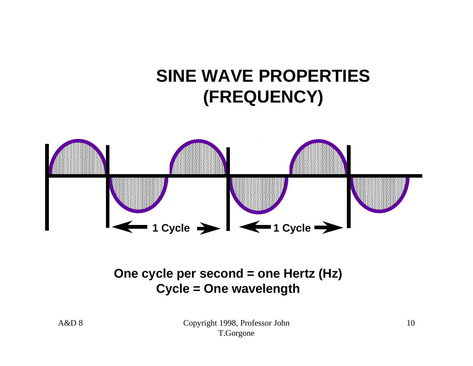#### **SINE WAVE PROPERTIES (FREQUENCY)**



#### **One cycle per second = one Hertz (Hz) Cycle = One wavelength**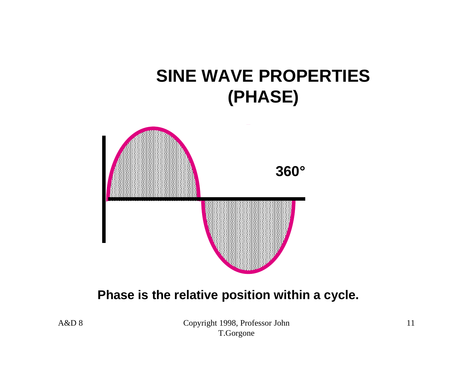#### **SINE WAVE PROPERTIES (PHASE)**



#### **Phase is the relative position within a cycle.**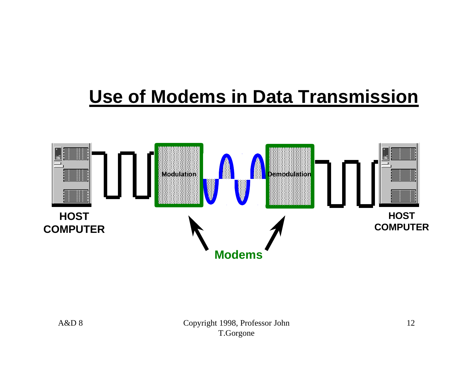#### **Use of Modems in Data Transmission**

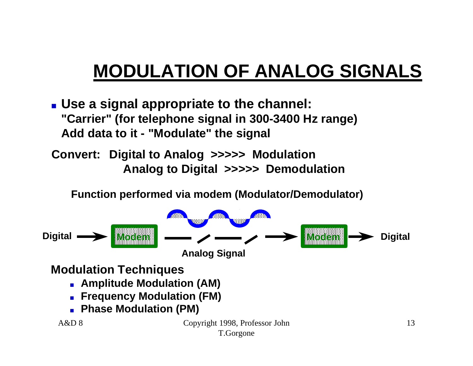# **MODULATION OF ANALOG SIGNALS**

**u** Use a signal appropriate to the channel: **"Carrier" (for telephone signal in 300-3400 Hz range) Add data to it - "Modulate" the signal**

**Convert: Digital to Analog >>>>> Modulation Analog to Digital >>>>> Demodulation**

**Function performed via modem (Modulator/Demodulator)**

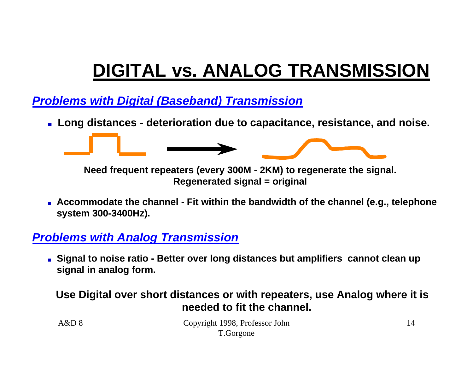# **DIGITAL vs. ANALOG TRANSMISSION**

*Problems with Digital (Baseband) Transmission*

<sup>n</sup> **Long distances - deterioration due to capacitance, resistance, and noise.**



**Need frequent repeaters (every 300M - 2KM) to regenerate the signal. Regenerated signal = original**

<sup>n</sup> **Accommodate the channel - Fit within the bandwidth of the channel (e.g., telephone system 300-3400Hz).**

#### *Problems with Analog Transmission*

<sup>n</sup> **Signal to noise ratio - Better over long distances but amplifiers cannot clean up signal in analog form.**

#### **Use Digital over short distances or with repeaters, use Analog where it is needed to fit the channel.**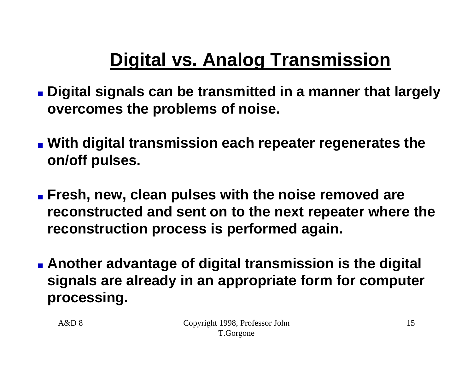# **Digital vs. Analog Transmission**

- **n** Digital signals can be transmitted in a manner that largely **overcomes the problems of noise.**
- **n** With digital transmission each repeater regenerates the **on/off pulses.**
- **Example 3 Fresh, new, clean pulses with the noise removed are reconstructed and sent on to the next repeater where the reconstruction process is performed again.**
- **n** Another advantage of digital transmission is the digital **signals are already in an appropriate form for computer processing.**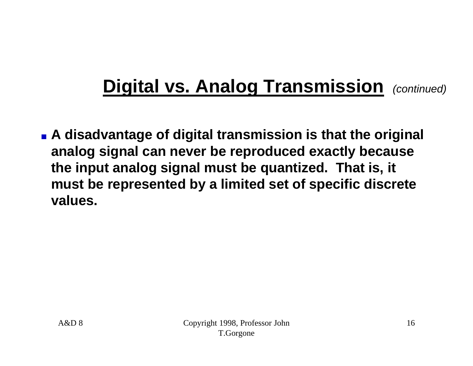# **Digital vs. Analog Transmission** *(continued)*

**Exagger 1 A** disadvantage of digital transmission is that the original **analog signal can never be reproduced exactly because the input analog signal must be quantized. That is, it must be represented by a limited set of specific discrete values.**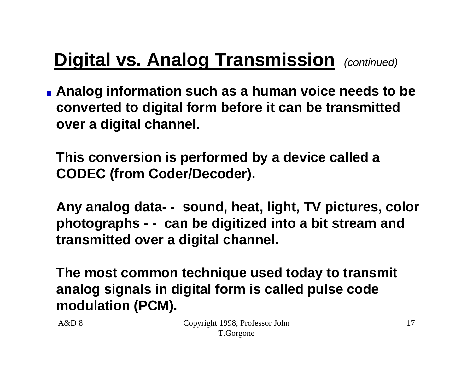# **Digital vs. Analog Transmission** *(continued)*

**Example 2 Analog information such as a human voice needs to be converted to digital form before it can be transmitted over a digital channel.**

**This conversion is performed by a device called a CODEC (from Coder/Decoder).**

**Any analog data- - sound, heat, light, TV pictures, color photographs - - can be digitized into a bit stream and transmitted over a digital channel.**

**The most common technique used today to transmit analog signals in digital form is called pulse code modulation (PCM).**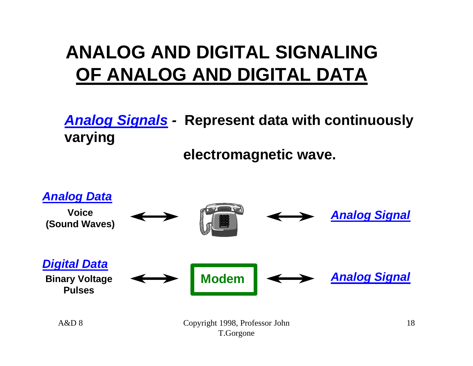### **ANALOG AND DIGITAL SIGNALING OF ANALOG AND DIGITAL DATA**

*Analog Signals -* **Represent data with continuously varying** 

**electromagnetic wave.**

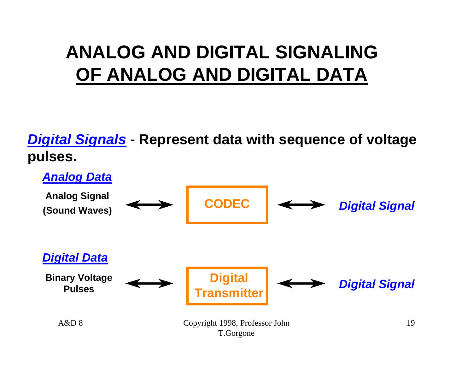### **ANALOG AND DIGITAL SIGNALING OF ANALOG AND DIGITAL DATA**

*Digital Signals* **- Represent data with sequence of voltage pulses.**

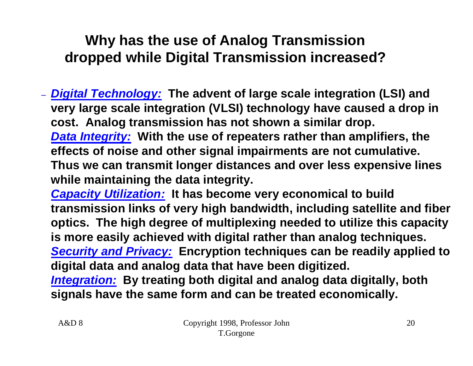#### **Why has the use of Analog Transmission dropped while Digital Transmission increased?**

– *Digital Technology:* **The advent of large scale integration (LSI) and very large scale integration (VLSI) technology have caused a drop in cost. Analog transmission has not shown a similar drop.** *Data Integrity:* **With the use of repeaters rather than amplifiers, the effects of noise and other signal impairments are not cumulative. Thus we can transmit longer distances and over less expensive lines while maintaining the data integrity.**

*Capacity Utilization:* **It has become very economical to build transmission links of very high bandwidth, including satellite and fiber optics. The high degree of multiplexing needed to utilize this capacity is more easily achieved with digital rather than analog techniques.** *Security and Privacy:* **Encryption techniques can be readily applied to digital data and analog data that have been digitized.**

*Integration:* **By treating both digital and analog data digitally, both signals have the same form and can be treated economically.**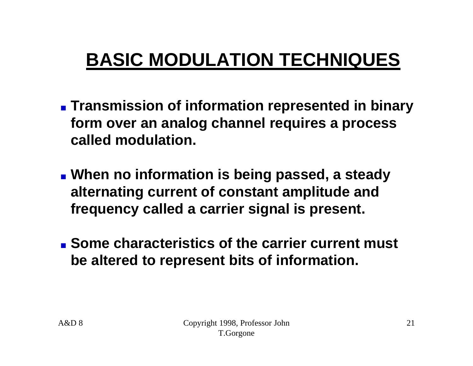- **Example 20 Intermation is presented in binary form over an analog channel requires a process called modulation.**
- **Nhen no information is being passed, a steady alternating current of constant amplitude and frequency called a carrier signal is present.**
- **n** Some characteristics of the carrier current must **be altered to represent bits of information.**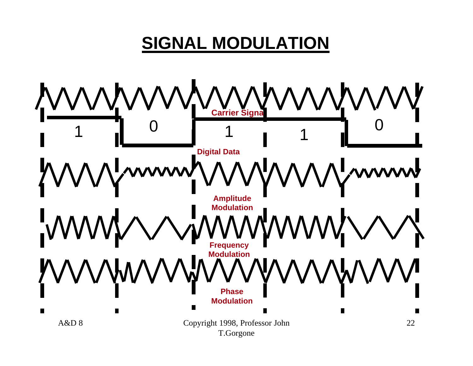#### **SIGNAL MODULATION**

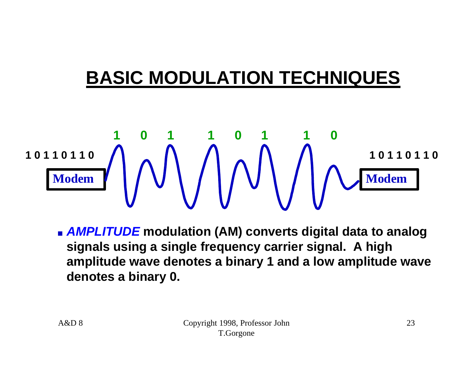# **Modem**  $\begin{pmatrix} 1 & 1 & 1 \\ 1 & 1 & 1 \end{pmatrix}$   $\begin{pmatrix} 1 & 1 & 1 \\ 1 & 1 & 1 \end{pmatrix}$   $\begin{pmatrix} 1 & 1 & 1 \\ 1 & 1 & 1 \end{pmatrix}$   $\begin{pmatrix} 1 & 1 & 1 \\ 1 & 1 & 1 \end{pmatrix}$   $\begin{pmatrix} 1 & 1 & 1 \\ 1 & 1 & 1 \end{pmatrix}$ **1 0 1 1 0 1 1 0 1 0 1 1 0 1 1 0 1 0 1 1 0 1 1 0**

**n** *AMPLITUDE* modulation (AM) converts digital data to analog **signals using a single frequency carrier signal. A high amplitude wave denotes a binary 1 and a low amplitude wave denotes a binary 0.**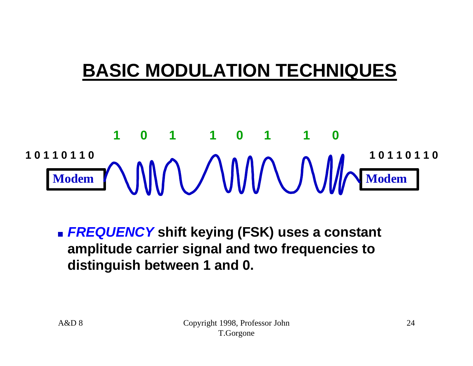# Modem **Modem Modem Modem Modem Modem Modem 1 0 1 1 0 1 1 0 1 0 1 1 0 1 1 0 1 0 1 1 0 1 1 0**

**n FREQUENCY** shift keying (FSK) uses a constant **amplitude carrier signal and two frequencies to distinguish between 1 and 0.**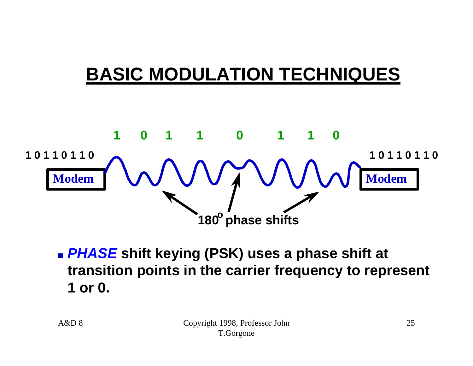

**n PHASE** shift keying (PSK) uses a phase shift at **transition points in the carrier frequency to represent 1 or 0.**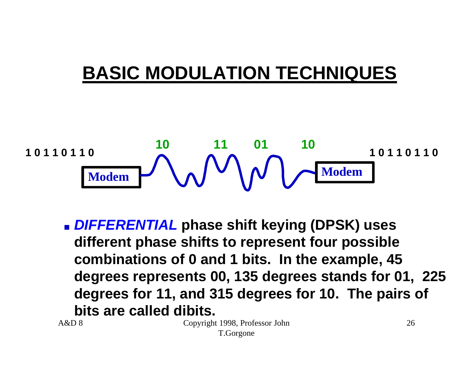$$
\begin{array}{c|c}\n10110110 & 10 \\
\hline\n \text{Modern} & \text{Moden}\n\end{array}\n\qquad\n\begin{array}{c}\n11 & 01 & 10 \\
\hline\n \text{Modem} & \text{Modem}\n\end{array}
$$

**n** DIFFERENTIAL phase shift keying (DPSK) uses **different phase shifts to represent four possible combinations of 0 and 1 bits. In the example, 45 degrees represents 00, 135 degrees stands for 01, 225 degrees for 11, and 315 degrees for 10. The pairs of bits are called dibits.**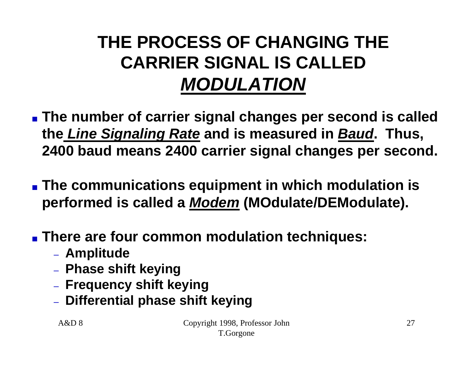#### **THE PROCESS OF CHANGING THE CARRIER SIGNAL IS CALLED** *MODULATION*

- **n** The number of carrier signal changes per second is called **the** *Line Signaling Rate* **and is measured in** *Baud***. Thus, 2400 baud means 2400 carrier signal changes per second.**
- **The communications equipment in which modulation is performed is called a** *Modem* **(MOdulate/DEModulate).**
- **Example 1 There are four common modulation techniques:** 
	- **Amplitude**
	- **Phase shift keying**
	- **Frequency shift keying**
	- **Differential phase shift keying**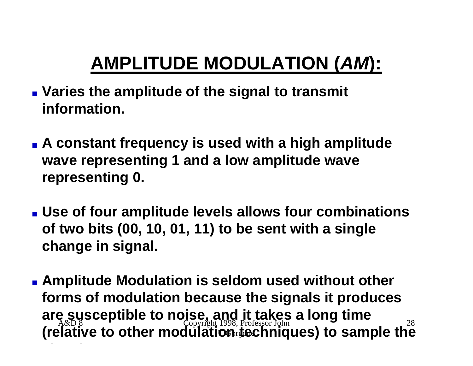# **AMPLITUDE MODULATION (***AM***):**

- **Naries the amplitude of the signal to transmit information.**
- **A constant frequency is used with a high amplitude wave representing 1 and a low amplitude wave representing 0.**
- **u** Use of four amplitude levels allows four combinations **of two bits (00, 10, 01, 11) to be sent with a single change in signal.**
- A&D 8 **Othrden** 28 **Examplitude Modulation is seldom used without other forms of modulation because the signals it produces are susceptible to noise, and it takes a long time (relative to other modulation techniques) to sample the**

**signal.**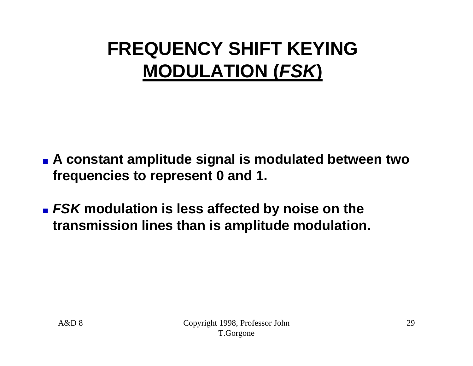# **FREQUENCY SHIFT KEYING MODULATION (***FSK***)**

- **Example 1 A constant amplitude signal is modulated between two frequencies to represent 0 and 1.**
- **EXA modulation is less affected by noise on the transmission lines than is amplitude modulation.**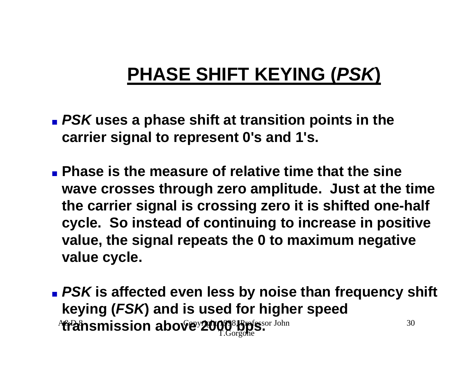# **PHASE SHIFT KEYING (***PSK***)**

- **n** *PSK* uses a phase shift at transition points in the **carrier signal to represent 0's and 1's.**
- <sup>n</sup> **Phase is the measure of relative time that the sine wave crosses through zero amplitude. Just at the time the carrier signal is crossing zero it is shifted one-half cycle. So instead of continuing to increase in positive value, the signal repeats the 0 to maximum negative value cycle.**
- A&D 8 Copyright 1998, Professor John T.Gorgone **transmission above 2000 bps.**30 **n** *PSK* is affected even less by noise than frequency shift **keying (***FSK***) and is used for higher speed**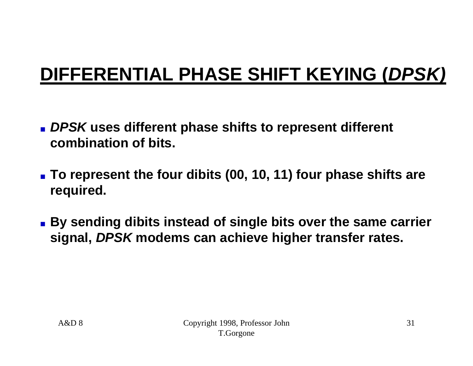# **DIFFERENTIAL PHASE SHIFT KEYING (***DPSK)*

- **n** DPSK uses different phase shifts to represent different **combination of bits.**
- **n To represent the four dibits (00, 10, 11) four phase shifts are required.**
- **By sending dibits instead of single bits over the same carrier signal,** *DPSK* **modems can achieve higher transfer rates.**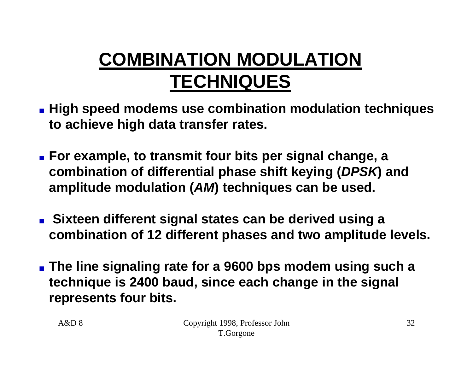# **COMBINATION MODULATION TECHNIQUES**

- $\blacksquare$  **High speed modems use combination modulation techniques to achieve high data transfer rates.**
- **Example, to transmit four bits per signal change, a combination of differential phase shift keying (***DPSK***) and amplitude modulation (***AM***) techniques can be used.**
- **n** Sixteen different signal states can be derived using a **combination of 12 different phases and two amplitude levels.**
- <sup>n</sup> **The line signaling rate for a 9600 bps modem using such a technique is 2400 baud, since each change in the signal represents four bits.**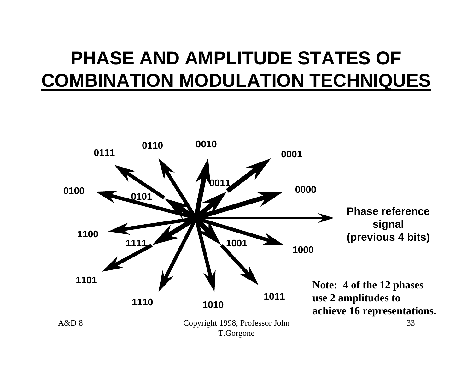### **PHASE AND AMPLITUDE STATES OF COMBINATION MODULATION TECHNIQUES**

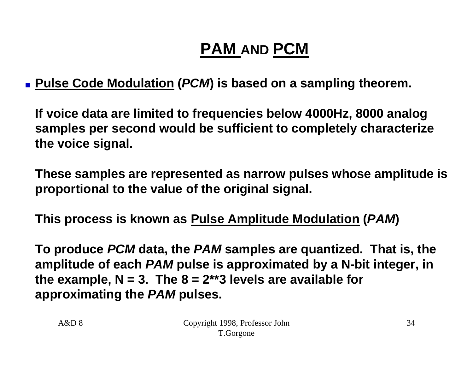#### **PAM AND PCM**

<sup>n</sup> **Pulse Code Modulation (***PCM***) is based on a sampling theorem.**

**If voice data are limited to frequencies below 4000Hz, 8000 analog samples per second would be sufficient to completely characterize the voice signal.**

**These samples are represented as narrow pulses whose amplitude is proportional to the value of the original signal.**

**This process is known as Pulse Amplitude Modulation (***PAM***)**

**To produce** *PCM* **data, the** *PAM* **samples are quantized. That is, the amplitude of each** *PAM* **pulse is approximated by a N-bit integer, in**  the example,  $N = 3$ . The  $8 = 2^{**}$ 3 levels are available for **approximating the** *PAM* **pulses.**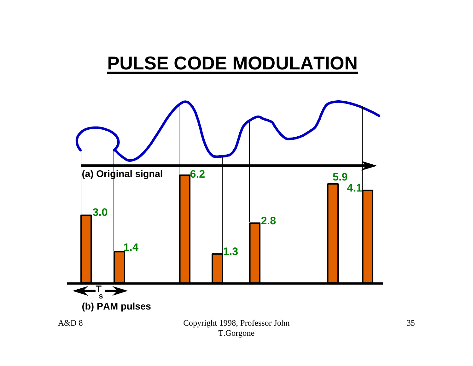#### **PULSE CODE MODULATION**

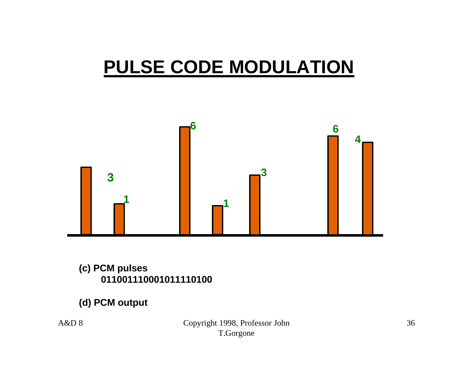### **PULSE CODE MODULATION**



#### **(c) PCM pulses**

#### **(d) PCM output**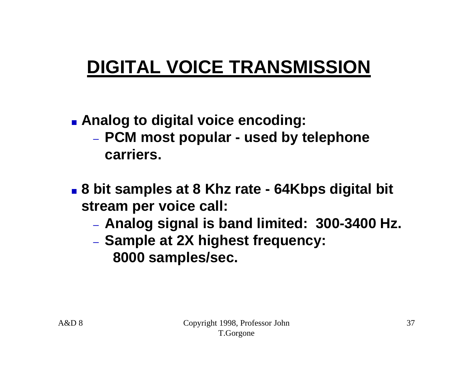# **DIGITAL VOICE TRANSMISSION**

- **Example 2 and 2 and 3 and 3 and 3 and 3 and 3 and 3 and 3 and 3 and 3 and 3 and 3 and 3 and 3 and 3 and 3 and 3 and 3 and 3 and 3 and 3 and 3 and 3 and 3 and 3 and 3 and 3 and 3 and 3 and 3 and 3 and 3 and 3 and 3 and 3 a** 
	- **PCM most popular - used by telephone carriers.**
- <sup>n</sup> **8 bit samples at 8 Khz rate - 64Kbps digital bit stream per voice call:**
	- **Analog signal is band limited: 300-3400 Hz.**
	- **Sample at 2X highest frequency: 8000 samples/sec.**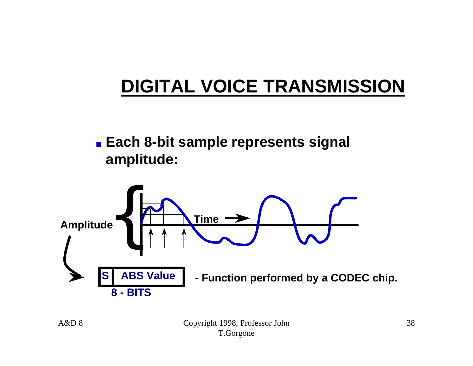## **DIGITAL VOICE TRANSMISSION**

#### **Each 8-bit sample represents signal amplitude:**